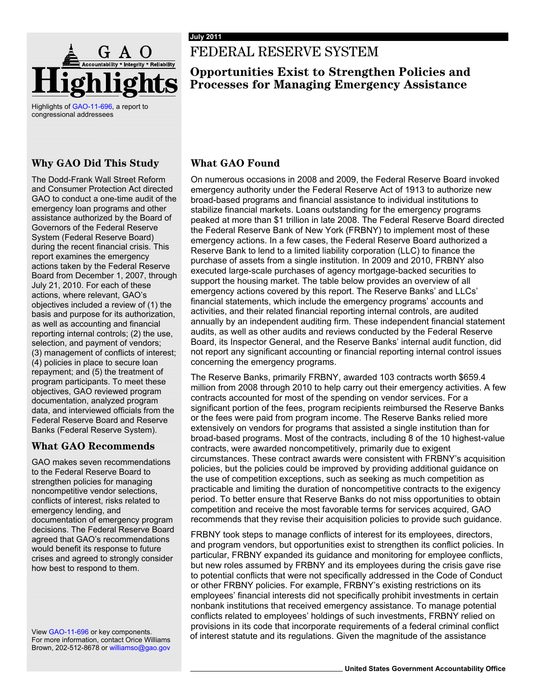

Highlights of [GAO-11-696,](http://www.gao.gov/products/GAO-11-696) a report to congressional addressees

## **Why GAO Did This Study**

The Dodd-Frank Wall Street Reform and Consumer Protection Act directed GAO to conduct a one-time audit of the emergency loan programs and other assistance authorized by the Board of Governors of the Federal Reserve System (Federal Reserve Board) during the recent financial crisis. This report examines the emergency actions taken by the Federal Reserve Board from December 1, 2007, through July 21, 2010. For each of these actions, where relevant, GAO's objectives included a review of (1) the basis and purpose for its authorization, as well as accounting and financial reporting internal controls; (2) the use, selection, and payment of vendors; (3) management of conflicts of interest; (4) policies in place to secure loan repayment; and (5) the treatment of program participants. To meet these objectives, GAO reviewed program documentation, analyzed program data, and interviewed officials from the Federal Reserve Board and Reserve Banks (Federal Reserve System).

### **What GAO Recommends**

GAO makes seven recommendations to the Federal Reserve Board to strengthen policies for managing noncompetitive vendor selections, conflicts of interest, risks related to emergency lending, and documentation of emergency program decisions. The Federal Reserve Board agreed that GAO's recommendations would benefit its response to future crises and agreed to strongly consider how best to respond to them.

For more information, contact Orice Williams Brown, 202-512-8678 or williamso@gao.gov

# FEDERAL RESERVE SYSTEM

## **Opportunities Exist to Strengthen Policies and Processes for Managing Emergency Assistance**

## **What GAO Found**

On numerous occasions in 2008 and 2009, the Federal Reserve Board invoked emergency authority under the Federal Reserve Act of 1913 to authorize new broad-based programs and financial assistance to individual institutions to stabilize financial markets. Loans outstanding for the emergency programs peaked at more than \$1 trillion in late 2008. The Federal Reserve Board directed the Federal Reserve Bank of New York (FRBNY) to implement most of these emergency actions. In a few cases, the Federal Reserve Board authorized a Reserve Bank to lend to a limited liability corporation (LLC) to finance the purchase of assets from a single institution. In 2009 and 2010, FRBNY also executed large-scale purchases of agency mortgage-backed securities to support the housing market. The table below provides an overview of all emergency actions covered by this report. The Reserve Banks' and LLCs' financial statements, which include the emergency programs' accounts and activities, and their related financial reporting internal controls, are audited annually by an independent auditing firm. These independent financial statement audits, as well as other audits and reviews conducted by the Federal Reserve Board, its Inspector General, and the Reserve Banks' internal audit function, did not report any significant accounting or financial reporting internal control issues concerning the emergency programs.

The Reserve Banks, primarily FRBNY, awarded 103 contracts worth \$659.4 million from 2008 through 2010 to help carry out their emergency activities. A few contracts accounted for most of the spending on vendor services. For a significant portion of the fees, program recipients reimbursed the Reserve Banks or the fees were paid from program income. The Reserve Banks relied more extensively on vendors for programs that assisted a single institution than for broad-based programs. Most of the contracts, including 8 of the 10 highest-value contracts, were awarded noncompetitively, primarily due to exigent circumstances. These contract awards were consistent with FRBNY's acquisition policies, but the policies could be improved by providing additional guidance on the use of competition exceptions, such as seeking as much competition as practicable and limiting the duration of noncompetitive contracts to the exigency period. To better ensure that Reserve Banks do not miss opportunities to obtain competition and receive the most favorable terms for services acquired, GAO recommends that they revise their acquisition policies to provide such guidance.

FRBNY took steps to manage conflicts of interest for its employees, directors, and program vendors, but opportunities exist to strengthen its conflict policies. In particular, FRBNY expanded its guidance and monitoring for employee conflicts, but new roles assumed by FRBNY and its employees during the crisis gave rise to potential conflicts that were not specifically addressed in the Code of Conduct or other FRBNY policies. For example, FRBNY's existing restrictions on its employees' financial interests did not specifically prohibit investments in certain nonbank institutions that received emergency assistance. To manage potential conflicts related to employees' holdings of such investments, FRBNY relied on provisions in its code that incorporate requirements of a federal criminal conflict View [GAO-11-696](http://www.gao.gov/products/GAO-11-696) or key components.<br>
For mere inferest stature and its regulations. Given the magnitude of the assistance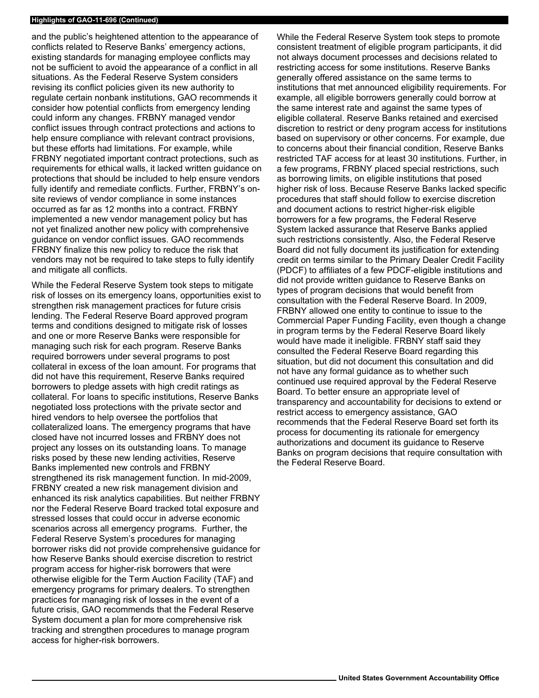#### **Highlights of GAO-11-696 (Continued)**

and the public's heightened attention to the appearance of conflicts related to Reserve Banks' emergency actions, existing standards for managing employee conflicts may not be sufficient to avoid the appearance of a conflict in all situations. As the Federal Reserve System considers revising its conflict policies given its new authority to regulate certain nonbank institutions, GAO recommends it consider how potential conflicts from emergency lending could inform any changes. FRBNY managed vendor conflict issues through contract protections and actions to help ensure compliance with relevant contract provisions, but these efforts had limitations. For example, while FRBNY negotiated important contract protections, such as requirements for ethical walls, it lacked written guidance on protections that should be included to help ensure vendors fully identify and remediate conflicts. Further, FRBNY's onsite reviews of vendor compliance in some instances occurred as far as 12 months into a contract. FRBNY implemented a new vendor management policy but has not yet finalized another new policy with comprehensive guidance on vendor conflict issues. GAO recommends FRBNY finalize this new policy to reduce the risk that vendors may not be required to take steps to fully identify and mitigate all conflicts.

While the Federal Reserve System took steps to mitigate risk of losses on its emergency loans, opportunities exist to strengthen risk management practices for future crisis lending. The Federal Reserve Board approved program terms and conditions designed to mitigate risk of losses and one or more Reserve Banks were responsible for managing such risk for each program. Reserve Banks required borrowers under several programs to post collateral in excess of the loan amount. For programs that did not have this requirement, Reserve Banks required borrowers to pledge assets with high credit ratings as collateral. For loans to specific institutions, Reserve Banks negotiated loss protections with the private sector and hired vendors to help oversee the portfolios that collateralized loans. The emergency programs that have closed have not incurred losses and FRBNY does not project any losses on its outstanding loans. To manage risks posed by these new lending activities, Reserve Banks implemented new controls and FRBNY strengthened its risk management function. In mid-2009, FRBNY created a new risk management division and enhanced its risk analytics capabilities. But neither FRBNY nor the Federal Reserve Board tracked total exposure and stressed losses that could occur in adverse economic scenarios across all emergency programs. Further, the Federal Reserve System's procedures for managing borrower risks did not provide comprehensive guidance for how Reserve Banks should exercise discretion to restrict program access for higher-risk borrowers that were otherwise eligible for the Term Auction Facility (TAF) and emergency programs for primary dealers. To strengthen practices for managing risk of losses in the event of a future crisis, GAO recommends that the Federal Reserve System document a plan for more comprehensive risk tracking and strengthen procedures to manage program access for higher-risk borrowers.

While the Federal Reserve System took steps to promote consistent treatment of eligible program participants, it did not always document processes and decisions related to restricting access for some institutions. Reserve Banks generally offered assistance on the same terms to institutions that met announced eligibility requirements. For example, all eligible borrowers generally could borrow at the same interest rate and against the same types of eligible collateral. Reserve Banks retained and exercised discretion to restrict or deny program access for institutions based on supervisory or other concerns. For example, due to concerns about their financial condition, Reserve Banks restricted TAF access for at least 30 institutions. Further, in a few programs, FRBNY placed special restrictions, such as borrowing limits, on eligible institutions that posed higher risk of loss. Because Reserve Banks lacked specific procedures that staff should follow to exercise discretion and document actions to restrict higher-risk eligible borrowers for a few programs, the Federal Reserve System lacked assurance that Reserve Banks applied such restrictions consistently. Also, the Federal Reserve Board did not fully document its justification for extending credit on terms similar to the Primary Dealer Credit Facility (PDCF) to affiliates of a few PDCF-eligible institutions and did not provide written guidance to Reserve Banks on types of program decisions that would benefit from consultation with the Federal Reserve Board. In 2009, FRBNY allowed one entity to continue to issue to the Commercial Paper Funding Facility, even though a change in program terms by the Federal Reserve Board likely would have made it ineligible. FRBNY staff said they consulted the Federal Reserve Board regarding this situation, but did not document this consultation and did not have any formal guidance as to whether such continued use required approval by the Federal Reserve Board. To better ensure an appropriate level of transparency and accountability for decisions to extend or restrict access to emergency assistance, GAO recommends that the Federal Reserve Board set forth its process for documenting its rationale for emergency authorizations and document its guidance to Reserve Banks on program decisions that require consultation with the Federal Reserve Board.